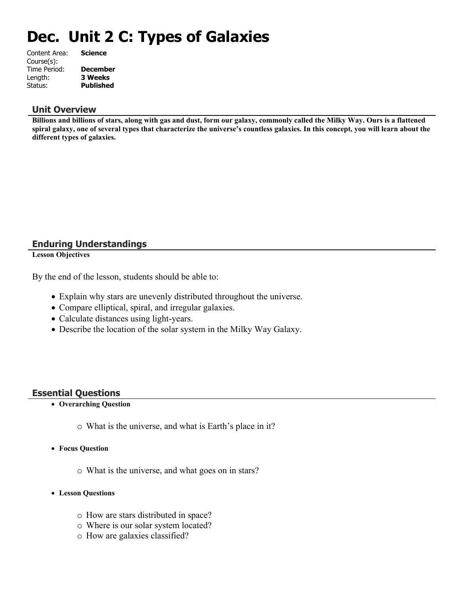# **Dec. Unit 2 C: Types of Galaxies**

| Content Area: | <b>Science</b>   |
|---------------|------------------|
| Course(s):    |                  |
| Time Period:  | <b>December</b>  |
| Length:       | <b>3 Weeks</b>   |
| Status:       | <b>Published</b> |
|               |                  |

#### **Unit Overview**

**Billions and billions of stars, along with gas and dust, form our galaxy, commonly called the Milky Way. Ours is a flattened spiral galaxy, one of several types that characterize the universe's countless galaxies. In this concept, you will learn about the different types of galaxies.**

## **Enduring Understandings**

**Lesson Objectives**

By the end of the lesson, students should be able to:

- Explain why stars are unevenly distributed throughout the universe.
- Compare elliptical, spiral, and irregular galaxies.
- Calculate distances using light-years.
- Describe the location of the solar system in the Milky Way Galaxy.

#### **Essential Questions**

- **Overarching Question**
	- o What is the universe, and what is Earth's place in it?
- **Focus Question**
	- o What is the universe, and what goes on in stars?
- **Lesson Questions**
	- o How are stars distributed in space?
	- o Where is our solar system located?
	- o How are galaxies classified?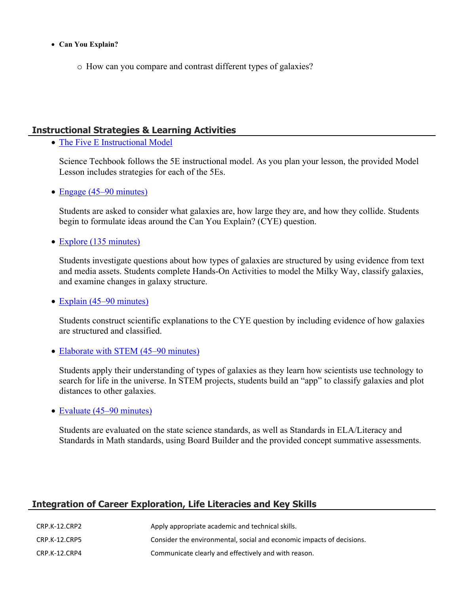- **Can You Explain?**
	- o How can you compare and contrast different types of galaxies?

### **Instructional Strategies & Learning Activities**

• [The Five E Instructional Model](https://app.discoveryeducation.com/learn/techbook/units/8bbb0b41-5603-4e74-80ac-5a0d536b350a/concepts/9a4256f5-adfa-4cbc-bc2f-c6e6d85a2800/lesson/sections/436be5d8-ba64-46a6-920a-b41bb637fc75#666734d1-afb7-4b5c-9f1a-8263fd81aa17)

Science Techbook follows the 5E instructional model. As you plan your lesson, the provided Model Lesson includes strategies for each of the 5Es.

• [Engage \(45–90 minutes\)](https://app.discoveryeducation.com/learn/techbook/units/8bbb0b41-5603-4e74-80ac-5a0d536b350a/concepts/9a4256f5-adfa-4cbc-bc2f-c6e6d85a2800/lesson/sections/436be5d8-ba64-46a6-920a-b41bb637fc75#170b00cd-dfeb-4ef7-b072-ea36533ac4e3)

Students are asked to consider what galaxies are, how large they are, and how they collide. Students begin to formulate ideas around the Can You Explain? (CYE) question.

• [Explore \(135 minutes\)](https://app.discoveryeducation.com/learn/techbook/units/8bbb0b41-5603-4e74-80ac-5a0d536b350a/concepts/9a4256f5-adfa-4cbc-bc2f-c6e6d85a2800/lesson/sections/436be5d8-ba64-46a6-920a-b41bb637fc75#7482e6a0-d97b-4f10-b644-23d081edc71c)

Students investigate questions about how types of galaxies are structured by using evidence from text and media assets. Students complete Hands-On Activities to model the Milky Way, classify galaxies, and examine changes in galaxy structure.

• [Explain \(45–90 minutes\)](https://app.discoveryeducation.com/learn/techbook/units/8bbb0b41-5603-4e74-80ac-5a0d536b350a/concepts/9a4256f5-adfa-4cbc-bc2f-c6e6d85a2800/lesson/sections/436be5d8-ba64-46a6-920a-b41bb637fc75#81f93c8d-be92-470f-b8d2-727509922b38)

Students construct scientific explanations to the CYE question by including evidence of how galaxies are structured and classified.

• [Elaborate with STEM \(45–90 minutes\)](https://app.discoveryeducation.com/learn/techbook/units/8bbb0b41-5603-4e74-80ac-5a0d536b350a/concepts/9a4256f5-adfa-4cbc-bc2f-c6e6d85a2800/lesson/sections/436be5d8-ba64-46a6-920a-b41bb637fc75#b01826ec-2dc1-4d4e-b97d-24a5f16a99b4)

Students apply their understanding of types of galaxies as they learn how scientists use technology to search for life in the universe. In STEM projects, students build an "app" to classify galaxies and plot distances to other galaxies.

• [Evaluate \(45–90 minutes\)](https://app.discoveryeducation.com/learn/techbook/units/8bbb0b41-5603-4e74-80ac-5a0d536b350a/concepts/9a4256f5-adfa-4cbc-bc2f-c6e6d85a2800/lesson/sections/436be5d8-ba64-46a6-920a-b41bb637fc75#aaea0458-30f5-4405-9203-dd2bd7e86097)

Students are evaluated on the state science standards, as well as Standards in ELA/Literacy and Standards in Math standards, using Board Builder and the provided concept summative assessments.

## **Integration of Career Exploration, Life Literacies and Key Skills**

| CRP.K-12.CRP2 | Apply appropriate academic and technical skills.                      |
|---------------|-----------------------------------------------------------------------|
| CRP.K-12.CRP5 | Consider the environmental, social and economic impacts of decisions. |
| CRP.K-12.CRP4 | Communicate clearly and effectively and with reason.                  |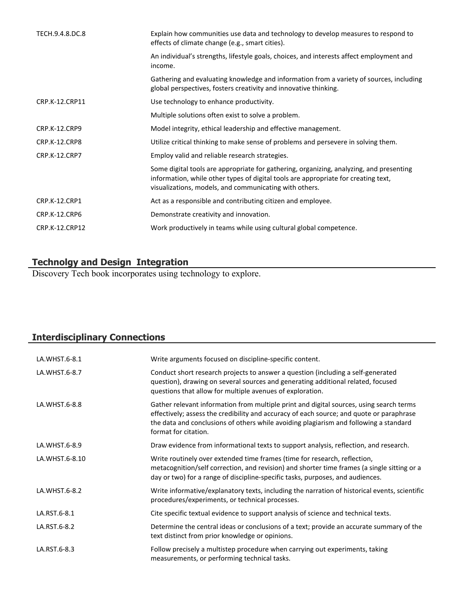| Explain how communities use data and technology to develop measures to respond to<br>effects of climate change (e.g., smart cities).                                                                                                    |
|-----------------------------------------------------------------------------------------------------------------------------------------------------------------------------------------------------------------------------------------|
| An individual's strengths, lifestyle goals, choices, and interests affect employment and<br>income.                                                                                                                                     |
| Gathering and evaluating knowledge and information from a variety of sources, including<br>global perspectives, fosters creativity and innovative thinking.                                                                             |
| Use technology to enhance productivity.                                                                                                                                                                                                 |
| Multiple solutions often exist to solve a problem.                                                                                                                                                                                      |
| Model integrity, ethical leadership and effective management.                                                                                                                                                                           |
| Utilize critical thinking to make sense of problems and persevere in solving them.                                                                                                                                                      |
| Employ valid and reliable research strategies.                                                                                                                                                                                          |
| Some digital tools are appropriate for gathering, organizing, analyzing, and presenting<br>information, while other types of digital tools are appropriate for creating text,<br>visualizations, models, and communicating with others. |
| Act as a responsible and contributing citizen and employee.                                                                                                                                                                             |
| Demonstrate creativity and innovation.                                                                                                                                                                                                  |
| Work productively in teams while using cultural global competence.                                                                                                                                                                      |
|                                                                                                                                                                                                                                         |

## **Technolgy and Design Integration**

Discovery Tech book incorporates using technology to explore.

# **Interdisciplinary Connections**

| LA.WHST.6-8.1  | Write arguments focused on discipline-specific content.                                                                                                                                                                                                                                              |
|----------------|------------------------------------------------------------------------------------------------------------------------------------------------------------------------------------------------------------------------------------------------------------------------------------------------------|
| LA.WHST.6-8.7  | Conduct short research projects to answer a question (including a self-generated<br>question), drawing on several sources and generating additional related, focused<br>questions that allow for multiple avenues of exploration.                                                                    |
| LA.WHST.6-8.8  | Gather relevant information from multiple print and digital sources, using search terms<br>effectively; assess the credibility and accuracy of each source; and quote or paraphrase<br>the data and conclusions of others while avoiding plagiarism and following a standard<br>format for citation. |
| LA.WHST.6-8.9  | Draw evidence from informational texts to support analysis, reflection, and research.                                                                                                                                                                                                                |
| LA.WHST.6-8.10 | Write routinely over extended time frames (time for research, reflection,<br>metacognition/self correction, and revision) and shorter time frames (a single sitting or a<br>day or two) for a range of discipline-specific tasks, purposes, and audiences.                                           |
| LA.WHST.6-8.2  | Write informative/explanatory texts, including the narration of historical events, scientific<br>procedures/experiments, or technical processes.                                                                                                                                                     |
| LA.RST.6-8.1   | Cite specific textual evidence to support analysis of science and technical texts.                                                                                                                                                                                                                   |
| LA.RST.6-8.2   | Determine the central ideas or conclusions of a text; provide an accurate summary of the<br>text distinct from prior knowledge or opinions.                                                                                                                                                          |
| LA.RST.6-8.3   | Follow precisely a multistep procedure when carrying out experiments, taking<br>measurements, or performing technical tasks.                                                                                                                                                                         |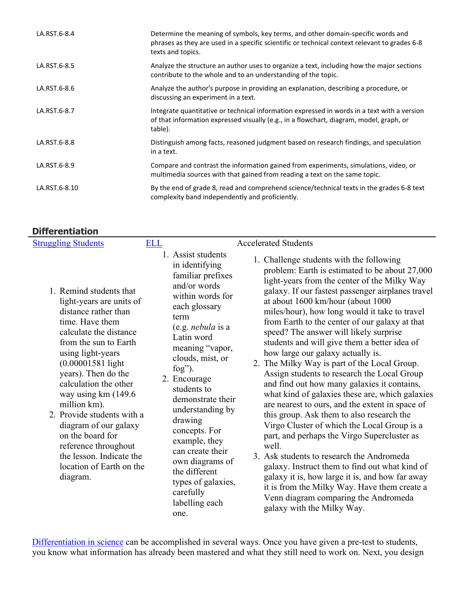| LA.RST.6-8.4  | Determine the meaning of symbols, key terms, and other domain-specific words and<br>phrases as they are used in a specific scientific or technical context relevant to grades 6-8<br>texts and topics. |
|---------------|--------------------------------------------------------------------------------------------------------------------------------------------------------------------------------------------------------|
| LA.RST.6-8.5  | Analyze the structure an author uses to organize a text, including how the major sections<br>contribute to the whole and to an understanding of the topic.                                             |
| LA.RST.6-8.6  | Analyze the author's purpose in providing an explanation, describing a procedure, or<br>discussing an experiment in a text.                                                                            |
| LA.RST.6-8.7  | Integrate quantitative or technical information expressed in words in a text with a version<br>of that information expressed visually (e.g., in a flowchart, diagram, model, graph, or<br>table).      |
| LA.RST.6-8.8  | Distinguish among facts, reasoned judgment based on research findings, and speculation<br>in a text.                                                                                                   |
| LA.RST.6-8.9  | Compare and contrast the information gained from experiments, simulations, video, or<br>multimedia sources with that gained from reading a text on the same topic.                                     |
| LA.RST.6-8.10 | By the end of grade 8, read and comprehend science/technical texts in the grades 6-8 text<br>complexity band independently and proficiently.                                                           |

# **Differentiation**

| <b>Struggling Students</b>                                                                                                                                                                                                                                             | <b>ELL</b>                                                                                                                                                                                                                                                                     | <b>Accelerated Students</b>                                                                                                                                                                                                                                                                                                                                                                                                                                                                                                                                                                                                                                             |
|------------------------------------------------------------------------------------------------------------------------------------------------------------------------------------------------------------------------------------------------------------------------|--------------------------------------------------------------------------------------------------------------------------------------------------------------------------------------------------------------------------------------------------------------------------------|-------------------------------------------------------------------------------------------------------------------------------------------------------------------------------------------------------------------------------------------------------------------------------------------------------------------------------------------------------------------------------------------------------------------------------------------------------------------------------------------------------------------------------------------------------------------------------------------------------------------------------------------------------------------------|
| 1. Remind students that<br>light-years are units of<br>distance rather than<br>time. Have them<br>calculate the distance<br>from the sun to Earth<br>using light-years<br>$(0.00001581$ light<br>years). Then do the<br>calculation the other<br>way using $km(149.6)$ | 1. Assist students<br>in identifying<br>familiar prefixes<br>and/or words<br>within words for<br>each glossary<br>term<br>(e.g. <i>nebula</i> is a<br>Latin word<br>meaning "vapor,<br>clouds, mist, or<br>$f \circ g$ ").<br>2. Encourage<br>students to<br>damangtrata thair | 1. Challenge students with the following<br>problem: Earth is estimated to be about 27,000<br>light-years from the center of the Milky Way<br>galaxy. If our fastest passenger airplanes travel<br>at about 1600 km/hour (about 1000<br>miles/hour), how long would it take to travel<br>from Earth to the center of our galaxy at that<br>speed? The answer will likely surprise<br>students and will give them a better idea of<br>how large our galaxy actually is.<br>2. The Milky Way is part of the Local Group.<br>Assign students to research the Local Group<br>and find out how many galaxies it contains,<br>what kind of galaxies these are, which galaxies |

- million km). 2. Provide students with a diagram of our galaxy on the board for reference throughout the lesson. Indicate the location of Earth on the diagram.
- 
- demonstrate their understanding by drawing concepts. For example, they can create their own diagrams of the different types of galaxies, carefully labelling each one.
- what kind of galaxies these are, which galaxies are nearest to ours, and the extent in space of this group. Ask them to also research the Virgo Cluster of which the Local Group is a part, and perhaps the Virgo Supercluster as well.
- 3. Ask students to research the Andromeda galaxy. Instruct them to find out what kind of galaxy it is, how large it is, and how far away it is from the Milky Way. Have them create a Venn diagram comparing the Andromeda galaxy with the Milky Way.

[Differentiation in science](http://www.brighthubeducation.com/teaching-gifted-students/65181-differentiation-techniques-and-activities-in-the-classroom-for-gifted-students/) can be accomplished in several ways. Once you have given a pre-test to students, you know what information has already been mastered and what they still need to work on. Next, you design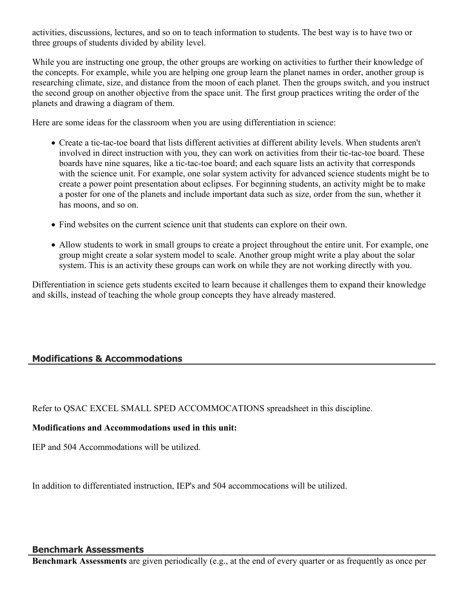activities, discussions, lectures, and so on to teach information to students. The best way is to have two or three groups of students divided by ability level.

While you are instructing one group, the other groups are working on activities to further their knowledge of the concepts. For example, while you are helping one group learn the planet names in order, another group is researching climate, size, and distance from the moon of each planet. Then the groups switch, and you instruct the second group on another objective from the space unit. The first group practices writing the order of the planets and drawing a diagram of them.

Here are some ideas for the classroom when you are using differentiation in science:

- Create a tic-tac-toe board that lists different activities at different ability levels. When students aren't involved in direct instruction with you, they can work on activities from their tic-tac-toe board. These boards have nine squares, like a tic-tac-toe board; and each square lists an activity that corresponds with the science unit. For example, one solar system activity for advanced science students might be to create a power point presentation about eclipses. For beginning students, an activity might be to make a poster for one of the planets and include important data such as size, order from the sun, whether it has moons, and so on.
- Find websites on the current science unit that students can explore on their own.
- Allow students to work in small groups to create a project throughout the entire unit. For example, one group might create a solar system model to scale. Another group might write a play about the solar system. This is an activity these groups can work on while they are not working directly with you.

Differentiation in science gets students excited to learn because it challenges them to expand their knowledge and skills, instead of teaching the whole group concepts they have already mastered.

# **Modifications & Accommodations**

Refer to QSAC EXCEL SMALL SPED ACCOMMOCATIONS spreadsheet in this discipline.

#### **Modifications and Accommodations used in this unit:**

IEP and 504 Accommodations will be utilized.

In addition to differentiated instruction, IEP's and 504 accommocations will be utilized.

#### **Benchmark Assessments**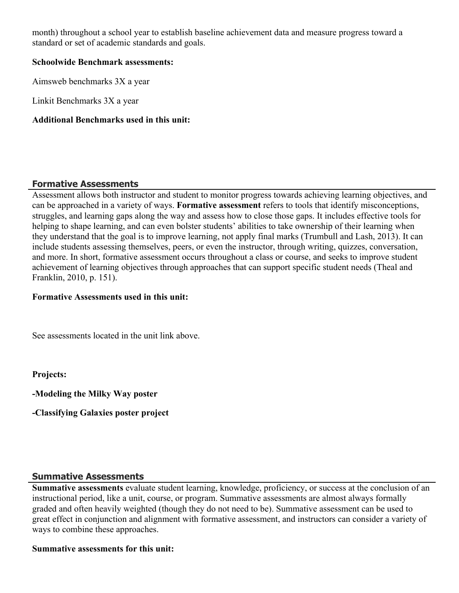month) throughout a school year to establish baseline achievement data and measure progress toward a standard or set of academic standards and goals.

#### **Schoolwide Benchmark assessments:**

Aimsweb benchmarks 3X a year

Linkit Benchmarks 3X a year

#### **Additional Benchmarks used in this unit:**

#### **Formative Assessments**

Assessment allows both instructor and student to monitor progress towards achieving learning objectives, and can be approached in a variety of ways. **Formative assessment** refers to tools that identify misconceptions, struggles, and learning gaps along the way and assess how to close those gaps. It includes effective tools for helping to shape learning, and can even bolster students' abilities to take ownership of their learning when they understand that the goal is to improve learning, not apply final marks (Trumbull and Lash, 2013). It can include students assessing themselves, peers, or even the instructor, through writing, quizzes, conversation, and more. In short, formative assessment occurs throughout a class or course, and seeks to improve student achievement of learning objectives through approaches that can support specific student needs (Theal and Franklin, 2010, p. 151).

#### **Formative Assessments used in this unit:**

See assessments located in the unit link above.

**Projects:** 

**-Modeling the Milky Way poster**

**-Classifying Galaxies poster project**

#### **Summative Assessments**

**Summative assessments** evaluate student learning, knowledge, proficiency, or success at the conclusion of an instructional period, like a unit, course, or program. Summative assessments are almost always formally graded and often heavily weighted (though they do not need to be). Summative assessment can be used to great effect in conjunction and alignment with formative assessment, and instructors can consider a variety of ways to combine these approaches.

#### **Summative assessments for this unit:**